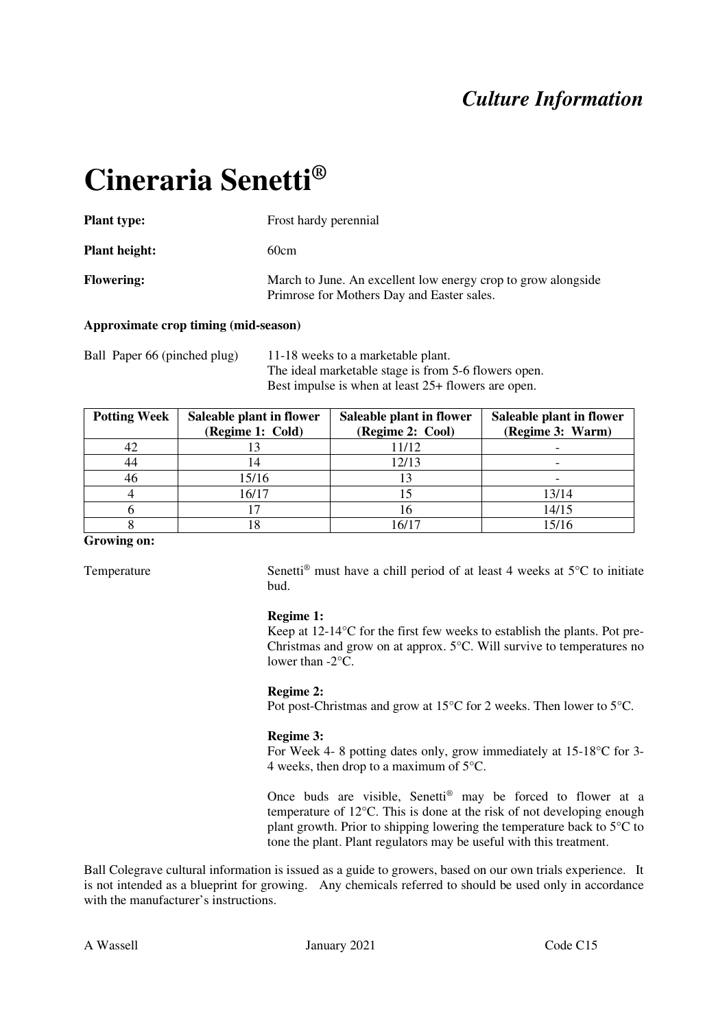# *Culture Information*

# **Cineraria Senetti®**

| <b>Plant type:</b>   | Frost hardy perennial                                                                                       |
|----------------------|-------------------------------------------------------------------------------------------------------------|
| <b>Plant height:</b> | 60cm                                                                                                        |
| <b>Flowering:</b>    | March to June. An excellent low energy crop to grow alongside<br>Primrose for Mothers Day and Easter sales. |

## **Approximate crop timing (mid-season)**

Ball Paper 66 (pinched plug) 11-18 weeks to a marketable plant. The ideal marketable stage is from 5-6 flowers open. Best impulse is when at least 25+ flowers are open.

| <b>Potting Week</b> | Saleable plant in flower<br>(Regime 1: Cold) | Saleable plant in flower<br>(Regime 2: Cool) | Saleable plant in flower<br>(Regime 3: Warm) |
|---------------------|----------------------------------------------|----------------------------------------------|----------------------------------------------|
| 42                  |                                              | 11/12                                        |                                              |
| 44                  |                                              | 12/13                                        |                                              |
| 46                  | 15/16                                        |                                              |                                              |
|                     | 16/17                                        |                                              | 13/14                                        |
|                     |                                              | 16                                           | 14/15                                        |
|                     |                                              | 16/17                                        | 15/16                                        |

#### **Growing on:**

Temperature Senetti<sup>®</sup> must have a chill period of at least 4 weeks at  $5^{\circ}$ C to initiate bud.

#### **Regime 1:**

Keep at 12-14°C for the first few weeks to establish the plants. Pot pre-Christmas and grow on at approx. 5°C. Will survive to temperatures no lower than -2°C.

#### **Regime 2:**

Pot post-Christmas and grow at 15°C for 2 weeks. Then lower to 5°C.

## **Regime 3:**

For Week 4- 8 potting dates only, grow immediately at 15-18°C for 3- 4 weeks, then drop to a maximum of 5°C.

Once buds are visible, Senetti® may be forced to flower at a temperature of 12°C. This is done at the risk of not developing enough plant growth. Prior to shipping lowering the temperature back to 5°C to tone the plant. Plant regulators may be useful with this treatment.

Ball Colegrave cultural information is issued as a guide to growers, based on our own trials experience. It is not intended as a blueprint for growing. Any chemicals referred to should be used only in accordance with the manufacturer's instructions.